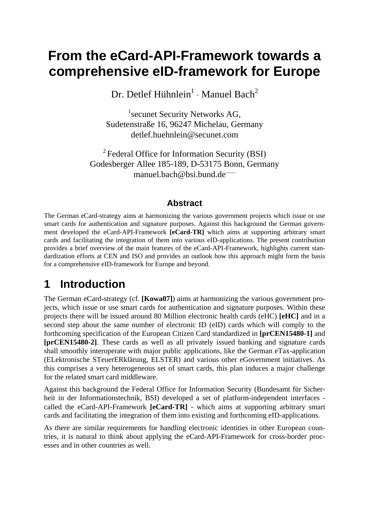# **From the eCard-API-Framework towards a comprehensive eID-framework for Europe**

Dr. Detlef Hühnlein<sup>1</sup> ⋅ Manuel Bach<sup>2</sup>

<sup>1</sup> secunet Security Networks AG, Sudetenstraße 16, 96247 Michelau, Germany detlef.huehnlein@secunet.com

2 Federal Office for Information Security (BSI) Godesberger Allee 185-189, D-53175 Bonn, Germany manuel.bach@bsi.bund.de<sup>.......</sup>

#### **Abstract**

The German eCard-strategy aims at harmonizing the various government projects which issue or use smart cards for authentication and signature purposes. Against this background the German government developed the eCard-API-Framework **[eCard-TR]** which aims at supporting arbitrary smart cards and facilitating the integration of them into various eID-applications. The present contribution provides a brief overview of the main features of the eCard-API-Framework, highlights current standardization efforts at CEN and ISO and provides an outlook how this approach might form the basis for a comprehensive eID-framework for Europe and beyond.

## **1 Introduction**

The German eCard-strategy (cf. **[Kowa07]**) aims at harmonizing the various government projects, which issue or use smart cards for authentication and signature purposes. Within these projects there will be issued around 80 Million electronic health cards (eHC) **[eHC]** and in a second step about the same number of electronic ID (eID) cards which will comply to the forthcoming specification of the European Citizen Card standardized in **[prCEN15480-1]** and **[prCEN15480-2]**. These cards as well as all privately issued banking and signature cards shall smoothly interoperate with major public applications, like the German eTax-application (ELektronische STeuerERklärung, ELSTER) and various other eGovernment initiatives. As this comprises a very heterogeneous set of smart cards, this plan induces a major challenge for the related smart card middleware.

Against this background the Federal Office for Information Security (Bundesamt für Sicherheit in der Informationstechnik, BSI) developed a set of platform-independent interfaces called the eCard-API-Framework **[eCard-TR]** - which aims at supporting arbitrary smart cards and facilitating the integration of them into existing and forthcoming eID-applications.

As there are similar requirements for handling electronic identities in other European countries, it is natural to think about applying the eCard-API-Framework for cross-border processes and in other countries as well.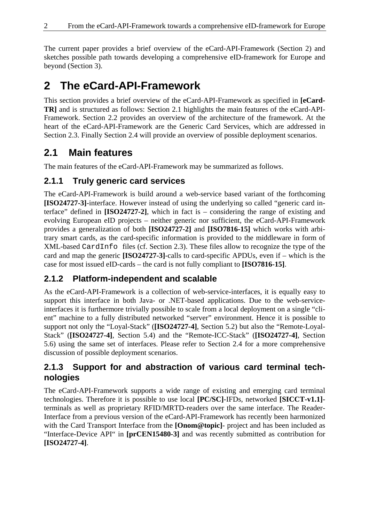The current paper provides a brief overview of the eCard-API-Framework (Section 2) and sketches possible path towards developing a comprehensive eID-framework for Europe and beyond (Section 3).

# **2 The eCard-API-Framework**

This section provides a brief overview of the eCard-API-Framework as specified in **[eCard-TR]** and is structured as follows: Section 2.1 highlights the main features of the eCard-API-Framework. Section 2.2 provides an overview of the architecture of the framework. At the heart of the eCard-API-Framework are the Generic Card Services, which are addressed in Section 2.3. Finally Section 2.4 will provide an overview of possible deployment scenarios.

## **2.1 Main features**

The main features of the eCard-API-Framework may be summarized as follows.

#### **2.1.1 Truly generic card services**

The eCard-API-Framework is build around a web-service based variant of the forthcoming **[ISO24727-3]**-interface. However instead of using the underlying so called "generic card interface" defined in **[ISO24727-2]**, which in fact is – considering the range of existing and evolving European eID projects – neither generic nor sufficient, the eCard-API-Framework provides a generalization of both **[ISO24727-2]** and **[ISO7816-15]** which works with arbitrary smart cards, as the card-specific information is provided to the middleware in form of XML-based CardInfo files (cf. Section 2.3). These files allow to recognize the type of the card and map the generic **[ISO24727-3]**-calls to card-specific APDUs, even if – which is the case for most issued eID-cards – the card is not fully compliant to **[ISO7816-15]**.

### **2.1.2 Platform-independent and scalable**

As the eCard-API-Framework is a collection of web-service-interfaces, it is equally easy to support this interface in both Java- or .NET-based applications. Due to the web-serviceinterfaces it is furthermore trivially possible to scale from a local deployment on a single "client" machine to a fully distributed networked "server" environment. Hence it is possible to support not only the "Loyal-Stack" (**[ISO24727-4]**, Section 5.2) but also the "Remote-Loyal-Stack" (**[ISO24727-4]**, Section 5.4) and the "Remote-ICC-Stack" (**[ISO24727-4]**, Section 5.6) using the same set of interfaces. Please refer to Section 2.4 for a more comprehensive discussion of possible deployment scenarios.

#### **2.1.3 Support for and abstraction of various card terminal technologies**

The eCard-API-Framework supports a wide range of existing and emerging card terminal technologies. Therefore it is possible to use local **[PC/SC]**-IFDs, networked **[SICCT-v1.1]** terminals as well as proprietary RFID/MRTD-readers over the same interface. The Reader-Interface from a previous version of the eCard-API-Framework has recently been harmonized with the Card Transport Interface from the **[Onom@topic]**- project and has been included as "Interface-Device API" in **[prCEN15480-3]** and was recently submitted as contribution for **[ISO24727-4]**.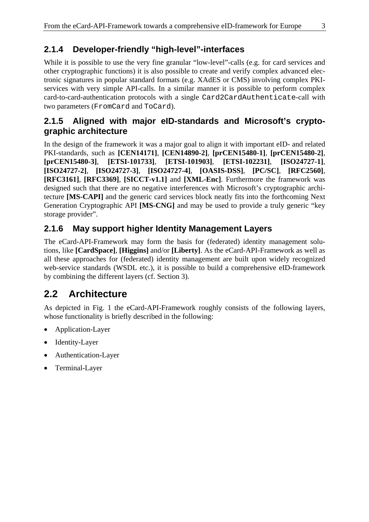### **2.1.4 Developer-friendly "high-level"-interfaces**

While it is possible to use the very fine granular "low-level"-calls (e.g. for card services and other cryptographic functions) it is also possible to create and verify complex advanced electronic signatures in popular standard formats (e.g. XAdES or CMS) involving complex PKIservices with very simple API-calls. In a similar manner it is possible to perform complex card-to-card-authentication protocols with a single Card2CardAuthenticate-call with two parameters (FromCard and ToCard).

#### **2.1.5 Aligned with major eID-standards and Microsoft's cryptographic architecture**

In the design of the framework it was a major goal to align it with important eID- and related PKI-standards, such as **[CEN14171]**, **[CEN14890-2]**, **[prCEN15480-1]**, **[prCEN15480-2]**, **[prCEN15480-3]**, **[ETSI-101733]**, **[ETSI-101903]**, **[ETSI-102231]**, **[ISO24727-1]**, **[ISO24727-2]**, **[ISO24727-3]**, **[ISO24727-4]**, **[OASIS-DSS]**, **[PC/SC]**, **[RFC2560]**, **[RFC3161]**, **[RFC3369]**, **[SICCT-v1.1]** and **[XML-Enc]**. Furthermore the framework was designed such that there are no negative interferences with Microsoft's cryptographic architecture **[MS-CAPI]** and the generic card services block neatly fits into the forthcoming Next Generation Cryptographic API **[MS-CNG]** and may be used to provide a truly generic "key storage provider".

#### **2.1.6 May support higher Identity Management Layers**

The eCard-API-Framework may form the basis for (federated) identity management solutions, like **[CardSpace]**, **[Higgins]** and/or **[Liberty]**. As the eCard-API-Framework as well as all these approaches for (federated) identity management are built upon widely recognized web-service standards (WSDL etc.), it is possible to build a comprehensive eID-framework by combining the different layers (cf. Section 3).

## **2.2 Architecture**

As depicted in Fig. 1 the eCard-API-Framework roughly consists of the following layers, whose functionality is briefly described in the following:

- Application-Layer
- Identity-Layer
- Authentication-Layer
- Terminal-Layer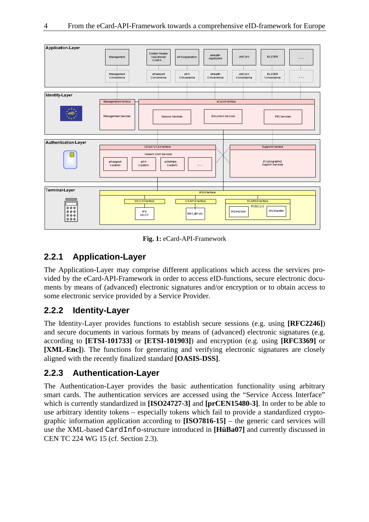

**Fig. 1:** eCard-API-Framework

#### **2.2.1 Application-Layer**

The Application-Layer may comprise different applications which access the services provided by the eCard-API-Framework in order to access eID-functions, secure electronic documents by means of (advanced) electronic signatures and/or encryption or to obtain access to some electronic service provided by a Service Provider.

#### **2.2.2 Identity-Layer**

The Identity-Layer provides functions to establish secure sessions (e.g. using **[RFC2246]**) and secure documents in various formats by means of (advanced) electronic signatures (e.g. according to **[ETSI-101733]** or **[ETSI-101903]**) and encryption (e.g. using **[RFC3369]** or **[XML-Enc]**). The functions for generating and verifying electronic signatures are closely aligned with the recently finalized standard **[OASIS-DSS]**.

#### **2.2.3 Authentication-Layer**

The Authentication-Layer provides the basic authentication functionality using arbitrary smart cards. The authentication services are accessed using the "Service Access Interface" which is currently standardized in **[ISO24727-3]** and **[prCEN15480-3]**. In order to be able to use arbitrary identity tokens – especially tokens which fail to provide a standardized cryptographic information application according to **[ISO7816-15]** – the generic card services will use the XML-based CardInfo-structure introduced in **[HüBa07]** and currently discussed in CEN TC 224 WG 15 (cf. Section 2.3).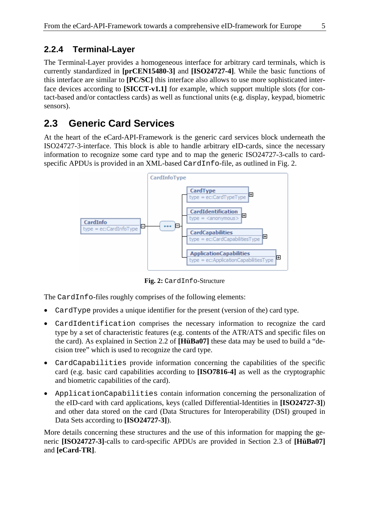#### **2.2.4 Terminal-Layer**

The Terminal-Layer provides a homogeneous interface for arbitrary card terminals, which is currently standardized in **[prCEN15480-3]** and **[ISO24727-4]**. While the basic functions of this interface are similar to **[PC/SC]** this interface also allows to use more sophisticated interface devices according to **[SICCT-v1.1]** for example, which support multiple slots (for contact-based and/or contactless cards) as well as functional units (e.g. display, keypad, biometric sensors).

## **2.3 Generic Card Services**

At the heart of the eCard-API-Framework is the generic card services block underneath the ISO24727-3-interface. This block is able to handle arbitrary eID-cards, since the necessary information to recognize some card type and to map the generic ISO24727-3-calls to cardspecific APDUs is provided in an XML-based CardInfo-file, as outlined in Fig. 2.



**Fig. 2:** CardInfo-Structure

The CardInfo-files roughly comprises of the following elements:

- CardType provides a unique identifier for the present (version of the) card type.
- CardIdentification comprises the necessary information to recognize the card type by a set of characteristic features (e.g. contents of the ATR/ATS and specific files on the card). As explained in Section 2.2 of **[HüBa07]** these data may be used to build a "decision tree" which is used to recognize the card type.
- CardCapabilities provide information concerning the capabilities of the specific card (e.g. basic card capabilities according to **[ISO7816-4]** as well as the cryptographic and biometric capabilities of the card).
- ApplicationCapabilities contain information concerning the personalization of the eID-card with card applications, keys (called Differential-Identities in **[ISO24727-3]**) and other data stored on the card (Data Structures for Interoperability (DSI) grouped in Data Sets according to **[ISO24727-3]**).

More details concerning these structures and the use of this information for mapping the generic **[ISO24727-3]**-calls to card-specific APDUs are provided in Section 2.3 of **[HüBa07]** and **[eCard-TR]**.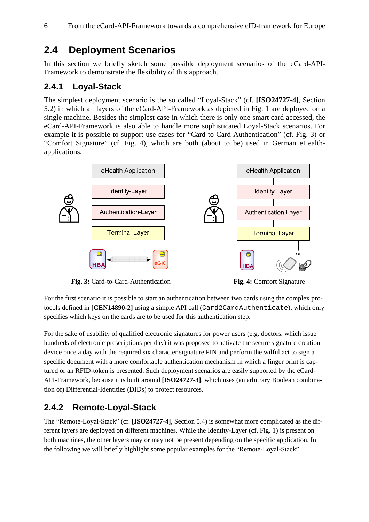### **2.4 Deployment Scenarios**

In this section we briefly sketch some possible deployment scenarios of the eCard-API-Framework to demonstrate the flexibility of this approach.

#### **2.4.1 Loyal-Stack**

The simplest deployment scenario is the so called "Loyal-Stack" (cf. **[ISO24727-4]**, Section 5.2) in which all layers of the eCard-API-Framework as depicted in Fig. 1 are deployed on a single machine. Besides the simplest case in which there is only one smart card accessed, the eCard-API-Framework is also able to handle more sophisticated Loyal-Stack scenarios. For example it is possible to support use cases for "Card-to-Card-Authentication" (cf. Fig. 3) or "Comfort Signature" (cf. Fig. 4), which are both (about to be) used in German eHealthapplications.



 **Fig. 3:** Card-to-Card-Authentication **Fig. 4:** Comfort Signature



For the first scenario it is possible to start an authentication between two cards using the complex protocols defined in **[CEN14890-2]** using a simple API call (Card2CardAuthenticate), which only specifies which keys on the cards are to be used for this authentication step.

For the sake of usability of qualified electronic signatures for power users (e.g. doctors, which issue hundreds of electronic prescriptions per day) it was proposed to activate the secure signature creation device once a day with the required six character signature PIN and perform the wilful act to sign a specific document with a more comfortable authentication mechanism in which a finger print is captured or an RFID-token is presented. Such deployment scenarios are easily supported by the eCard-API-Framework, because it is built around **[ISO24727-3]**, which uses (an arbitrary Boolean combination of) Differential-Identities (DIDs) to protect resources.

### **2.4.2 Remote-Loyal-Stack**

The "Remote-Loyal-Stack" (cf. **[ISO24727-4]**, Section 5.4) is somewhat more complicated as the different layers are deployed on different machines. While the Identity-Layer (cf. Fig. 1) is present on both machines, the other layers may or may not be present depending on the specific application. In the following we will briefly highlight some popular examples for the "Remote-Loyal-Stack".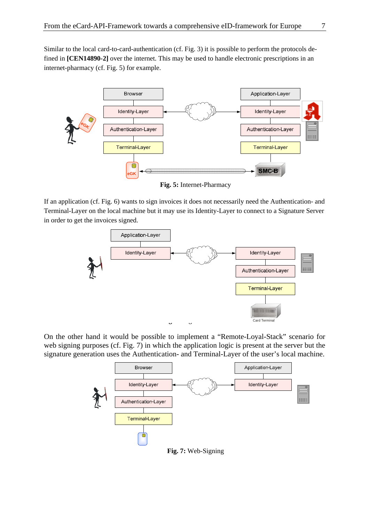Similar to the local card-to-card-authentication (cf. Fig. 3) it is possible to perform the protocols defined in **[CEN14890-2]** over the internet. This may be used to handle electronic prescriptions in an internet-pharmacy (cf. Fig. 5) for example.



**Fig. 5:** Internet-Pharmacy

If an application (cf. Fig. 6) wants to sign invoices it does not necessarily need the Authentication- and Terminal-Layer on the local machine but it may use its Identity-Layer to connect to a Signature Server in order to get the invoices signed.



On the other hand it would be possible to implement a "Remote-Loyal-Stack" scenario for web signing purposes (cf. Fig. 7) in which the application logic is present at the server but the signature generation uses the Authentication- and Terminal-Layer of the user's local machine.



**Fig. 7:** Web-Signing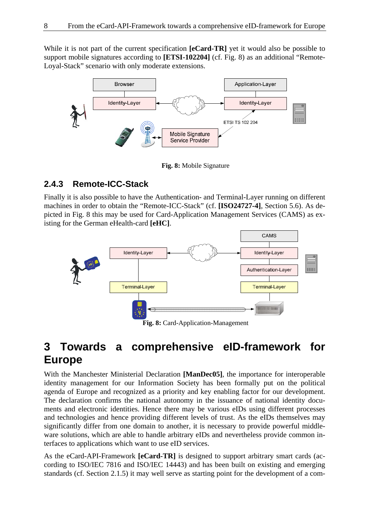While it is not part of the current specification **[eCard-TR]** yet it would also be possible to support mobile signatures according to **[ETSI-102204]** (cf. Fig. 8) as an additional "Remote-Loyal-Stack" scenario with only moderate extensions.



**Fig. 8:** Mobile Signature

#### **2.4.3 Remote-ICC-Stack**

Finally it is also possible to have the Authentication- and Terminal-Layer running on different machines in order to obtain the "Remote-ICC-Stack" (cf. **[ISO24727-4]**, Section 5.6). As depicted in Fig. 8 this may be used for Card-Application Management Services (CAMS) as existing for the German eHealth-card **[eHC]**.



**Fig. 8:** Card-Application-Management

## **3 Towards a comprehensive eID-framework for Europe**

With the Manchester Ministerial Declaration **[ManDec05]**, the importance for interoperable identity management for our Information Society has been formally put on the political agenda of Europe and recognized as a priority and key enabling factor for our development. The declaration confirms the national autonomy in the issuance of national identity documents and electronic identities. Hence there may be various eIDs using different processes and technologies and hence providing different levels of trust. As the eIDs themselves may significantly differ from one domain to another, it is necessary to provide powerful middleware solutions, which are able to handle arbitrary eIDs and nevertheless provide common interfaces to applications which want to use eID services.

As the eCard-API-Framework **[eCard-TR]** is designed to support arbitrary smart cards (according to ISO/IEC 7816 and ISO/IEC 14443) and has been built on existing and emerging standards (cf. Section 2.1.5) it may well serve as starting point for the development of a com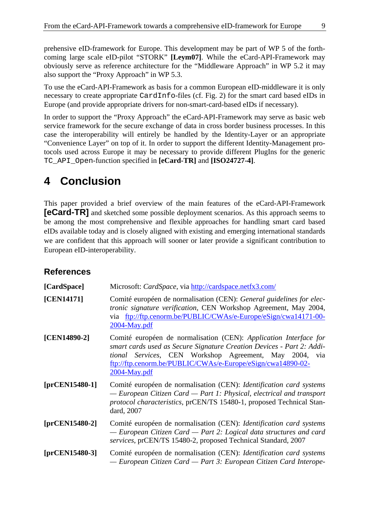prehensive eID-framework for Europe. This development may be part of WP 5 of the forthcoming large scale eID-pilot "STORK" **[Leym07]**. While the eCard-API-Framework may obviously serve as reference architecture for the "Middleware Approach" in WP 5.2 it may also support the "Proxy Approach" in WP 5.3.

To use the eCard-API-Framework as basis for a common European eID-middleware it is only necessary to create appropriate CardInfo-files (cf. Fig. 2) for the smart card based eIDs in Europe (and provide appropriate drivers for non-smart-card-based eIDs if necessary).

In order to support the "Proxy Approach" the eCard-API-Framework may serve as basic web service framework for the secure exchange of data in cross border business processes. In this case the interoperability will entirely be handled by the Identity-Layer or an appropriate "Convenience Layer" on top of it. In order to support the different Identity-Management protocols used across Europe it may be necessary to provide different PlugIns for the generic TC\_API\_Open-function specified in **[eCard-TR]** and **[ISO24727-4]**.

## **4 Conclusion**

This paper provided a brief overview of the main features of the eCard-API-Framework **[eCard-TR]** and sketched some possible deployment scenarios. As this approach seems to be among the most comprehensive and flexible approaches for handling smart card based eIDs available today and is closely aligned with existing and emerging international standards we are confident that this approach will sooner or later provide a significant contribution to European eID-interoperability.

#### **References**

**[CardSpace]** Microsoft: *CardSpace*, via http://cardspace.netfx3.com/

- **[CEN14171]** Comité européen de normalisation (CEN): *General guidelines for electronic signature verification*, CEN Workshop Agreement, May 2004, via ftp://ftp.cenorm.be/PUBLIC/CWAs/e-Europe/eSign/cwa14171-00- 2004-May.pdf
- **[CEN14890-2]** Comité européen de normalisation (CEN): *Application Interface for smart cards used as Secure Signature Creation Devices - Part 2: Additional Services*, CEN Workshop Agreement, May 2004, via ftp://ftp.cenorm.be/PUBLIC/CWAs/e-Europe/eSign/cwa14890-02- 2004-May.pdf
- **[prCEN15480-1]** Comité européen de normalisation (CEN): *Identification card systems — European Citizen Card — Part 1: Physical, electrical and transport protocol characteristics*, prCEN/TS 15480-1*,* proposed Technical Standard*,* 2007
- **[prCEN15480-2]** Comité européen de normalisation (CEN): *Identification card systems — European Citizen Card — Part 2: Logical data structures and card services*, prCEN/TS 15480-2*,* proposed Technical Standard*,* 2007

#### **[prCEN15480-3]** Comité européen de normalisation (CEN): *Identification card systems — European Citizen Card — Part 3: European Citizen Card Interope-*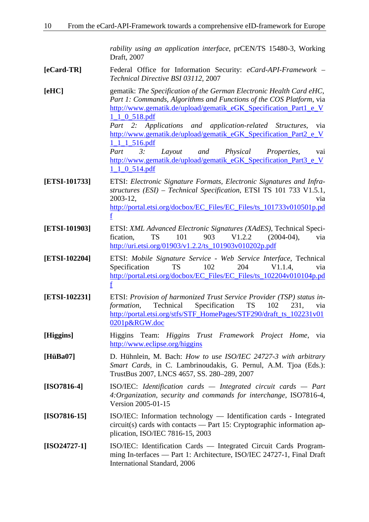*rability using an application interface*, prCEN/TS 15480-3*,* Working Draft, 2007

- **[eCard-TR]** Federal Office for Information Security: *eCard-API-Framework Technical Directive BSI 03112*, 2007
- **[eHC]** gematik: *The Specification of the German Electronic Health Card eHC, Part 1: Commands, Algorithms and Functions of the COS Platform*, via http://www.gematik.de/upload/gematik\_eGK\_Specification\_Part1\_e\_V 1\_1\_0\_518.pdf *Part 2: Applications and application-related Structures*, via

http://www.gematik.de/upload/gematik\_eGK\_Specification\_Part2\_e\_V 1\_1\_1\_516.pdf

*Part 3: Layout and Physical Properties*, vai http://www.gematik.de/upload/gematik\_eGK\_Specification\_Part3\_e\_V 1\_1\_0\_514.pdf

- **[ETSI-101733]** ETSI: *Electronic Signature Formats, Electronic Signatures and Infrastructures (ESI) – Technical Specification*, ETSI TS 101 733 V1.5.1, 2003-12, via http://portal.etsi.org/docbox/EC\_Files/EC\_Files/ts\_101733v010501p.pd f
- **[ETSI-101903]** ETSI: *XML Advanced Electronic Signatures (XAdES)*, Technical Specification, TS 101 903 V1.2.2 (2004-04), via http://uri.etsi.org/01903/v1.2.2/ts\_101903v010202p.pdf
- **[ETSI-102204]** ETSI: *Mobile Signature Service Web Service Interface*, Technical Specification TS 102 204 V1.1.4, via http://portal.etsi.org/docbox/EC\_Files/EC\_Files/ts\_102204v010104p.pd f
- **[ETSI-102231]** ETSI: *Provision of harmonized Trust Service Provider (TSP) status information*, Technical Specification TS 102 231, via http://portal.etsi.org/stfs/STF\_HomePages/STF290/draft\_ts\_102231v01 0201p&RGW.doc
- **[Higgins]** Higgins Team: *Higgins Trust Framework Project Home*, via http://www.eclipse.org/higgins
- **[HüBa07]** D. Hühnlein, M. Bach: *How to use ISO/IEC 24727-3 with arbitrary Smart Cards*, in C. Lambrinoudakis, G. Pernul, A.M. Tjoa (Eds.): TrustBus 2007, LNCS 4657, SS. 280–289, 2007
- **[ISO7816-4]** ISO/IEC: *Identification cards Integrated circuit cards Part 4:Organization, security and commands for interchange*, ISO7816-4, Version 2005-01-15
- **[ISO7816-15]** ISO/IEC: Information technology Identification cards Integrated circuit(s) cards with contacts — Part 15: Cryptographic information application, ISO/IEC 7816-15, 2003
- **[ISO24727-1]** ISO/IEC: Identification Cards Integrated Circuit Cards Programming In-terfaces — Part 1: Architecture, ISO/IEC 24727-1, Final Draft International Standard, 2006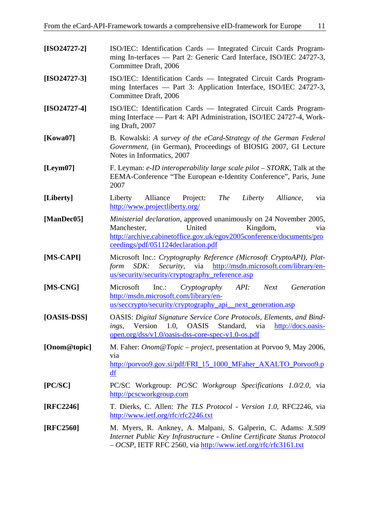| $[ISO24727-2]$ | ISO/IEC: Identification Cards — Integrated Circuit Cards Program-<br>ming In-terfaces — Part 2: Generic Card Interface, ISO/IEC 24727-3,<br>Committee Draft, 2006                                                            |
|----------------|------------------------------------------------------------------------------------------------------------------------------------------------------------------------------------------------------------------------------|
| $[ISO24727-3]$ | ISO/IEC: Identification Cards — Integrated Circuit Cards Program-<br>ming Interfaces — Part 3: Application Interface, ISO/IEC 24727-3,<br>Committee Draft, 2006                                                              |
| $[ISO24727-4]$ | ISO/IEC: Identification Cards — Integrated Circuit Cards Program-<br>ming Interface — Part 4: API Administration, ISO/IEC 24727-4, Work-<br>ing Draft, 2007                                                                  |
| [Kowa07]       | B. Kowalski: A survey of the eCard-Strategy of the German Federal<br>Government, (in German), Proceedings of BIOSIG 2007, GI Lecture<br>Notes in Informatics, 2007                                                           |
| [Leym07]       | F. Leyman: e-ID interoperability large scale pilot – STORK, Talk at the<br>EEMA-Conference "The European e-Identity Conference", Paris, June<br>2007                                                                         |
| [Liberty]      | Alliance Project:<br><i>The</i><br>Liberty<br>Liberty<br>Alliance,<br>via<br>http://www.projectliberty.org/                                                                                                                  |
| [ManDec05]     | Ministerial declaration, approved unanimously on 24 November 2005,<br>United<br>Kingdom,<br>Manchester,<br>via<br>http://archive.cabinetoffice.gov.uk/egov2005conference/documents/pro<br>ceedings/pdf/051124declaration.pdf |
| [MS-CAPI]      | Microsoft Inc.: Cryptography Reference (Microsoft CryptoAPI), Plat-<br>http://msdn.microsoft.com/library/en-<br>SDK:<br>Security,<br>via<br>form<br>us/security/security/cryptography_reference.asp                          |
| [MS-CNG]       | Generation<br>Microsoft<br>$Inc.$ :<br>Cryptography<br>API:<br><b>Next</b><br>http://msdn.microsoft.com/library/en-<br>us/seccrypto/security/cryptography_api_next_generation.asp                                            |
| [OASIS-DSS]    | <b>OASIS: Digital Signature Service Core Protocols, Elements, and Bind-</b><br><b>OASIS</b><br>Version<br>1.0,<br>Standard,<br>http://docs.oasis-<br>via<br>ings,<br>open.org/dss/v1.0/oasis-dss-core-spec-v1.0-os.pdf       |
| [Onom@topic]   | M. Faher: <i>Onom@Topic – project</i> , presentation at Porvoo 9, May 2006,<br>via<br>http://porvoo9.gov.si/pdf/FRI_15_1000_MFaher_AXALTO_Porvoo9.p<br>df                                                                    |
| [PC/SC]        | PC/SC Workgroup: <i>PC/SC Workgroup Specifications 1.0/2.0</i> , via<br>http://pcscworkgroup.com                                                                                                                             |
| $[RFC2246]$    | T. Dierks, C. Allen: <i>The TLS Protocol - Version 1.0</i> , RFC2246, via<br>http://www.ietf.org/rfc/rfc2246.txt                                                                                                             |
| [RFC2560]      | M. Myers, R. Ankney, A. Malpani, S. Galperin, C. Adams: X.509<br>Internet Public Key Infrastructure - Online Certificate Status Protocol<br>- OCSP, IETF RFC 2560, via http://www.ietf.org/rfc/rfc3161.txt                   |